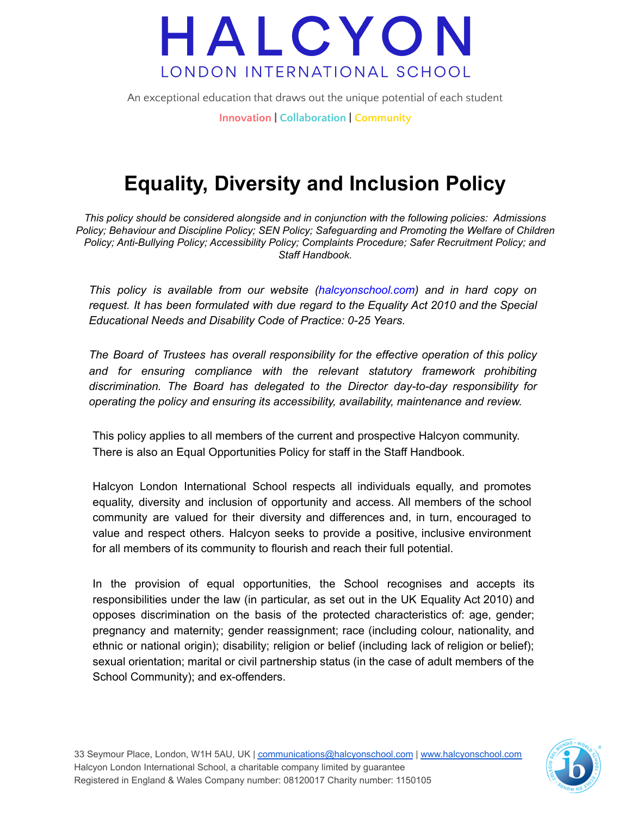

## **Equality, Diversity and Inclusion Policy**

*This policy should be considered alongside and in conjunction with the following policies: Admissions Policy; Behaviour and Discipline Policy; SEN Policy; Safeguarding and Promoting the Welfare of Children Policy; Anti-Bullying Policy; Accessibility Policy; Complaints Procedure; Safer Recruitment Policy; and Staff Handbook.*

*This policy is available from our website (halcyonschool.com) and in hard copy on request. It has been formulated with due regard to the Equality Act 2010 and the Special Educational Needs and Disability Code of Practice: 0-25 Years.*

*The Board of Trustees has overall responsibility for the effective operation of this policy and for ensuring compliance with the relevant statutory framework prohibiting discrimination. The Board has delegated to the Director day-to-day responsibility for operating the policy and ensuring its accessibility, availability, maintenance and review.*

This policy applies to all members of the current and prospective Halcyon community. There is also an Equal Opportunities Policy for staff in the Staff Handbook.

Halcyon London International School respects all individuals equally, and promotes equality, diversity and inclusion of opportunity and access. All members of the school community are valued for their diversity and differences and, in turn, encouraged to value and respect others. Halcyon seeks to provide a positive, inclusive environment for all members of its community to flourish and reach their full potential.

In the provision of equal opportunities, the School recognises and accepts its responsibilities under the law (in particular, as set out in the UK Equality Act 2010) and opposes discrimination on the basis of the protected characteristics of: age, gender; pregnancy and maternity; gender reassignment; race (including colour, nationality, and ethnic or national origin); disability; religion or belief (including lack of religion or belief); sexual orientation; marital or civil partnership status (in the case of adult members of the School Community); and ex-offenders.

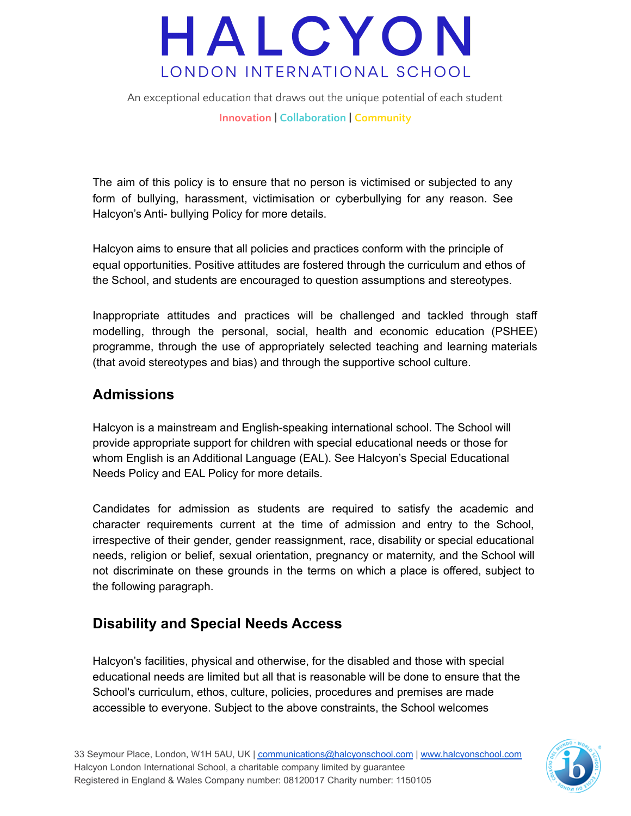

The aim of this policy is to ensure that no person is victimised or subjected to any form of bullying, harassment, victimisation or cyberbullying for any reason. See Halcyon's Anti- bullying Policy for more details.

Halcyon aims to ensure that all policies and practices conform with the principle of equal opportunities. Positive attitudes are fostered through the curriculum and ethos of the School, and students are encouraged to question assumptions and stereotypes.

Inappropriate attitudes and practices will be challenged and tackled through staff modelling, through the personal, social, health and economic education (PSHEE) programme, through the use of appropriately selected teaching and learning materials (that avoid stereotypes and bias) and through the supportive school culture.

#### **Admissions**

Halcyon is a mainstream and English-speaking international school. The School will provide appropriate support for children with special educational needs or those for whom English is an Additional Language (EAL). See Halcyon's Special Educational Needs Policy and EAL Policy for more details.

Candidates for admission as students are required to satisfy the academic and character requirements current at the time of admission and entry to the School, irrespective of their gender, gender reassignment, race, disability or special educational needs, religion or belief, sexual orientation, pregnancy or maternity, and the School will not discriminate on these grounds in the terms on which a place is offered, subject to the following paragraph.

### **Disability and Special Needs Access**

Halcyon's facilities, physical and otherwise, for the disabled and those with special educational needs are limited but all that is reasonable will be done to ensure that the School's curriculum, ethos, culture, policies, procedures and premises are made accessible to everyone. Subject to the above constraints, the School welcomes

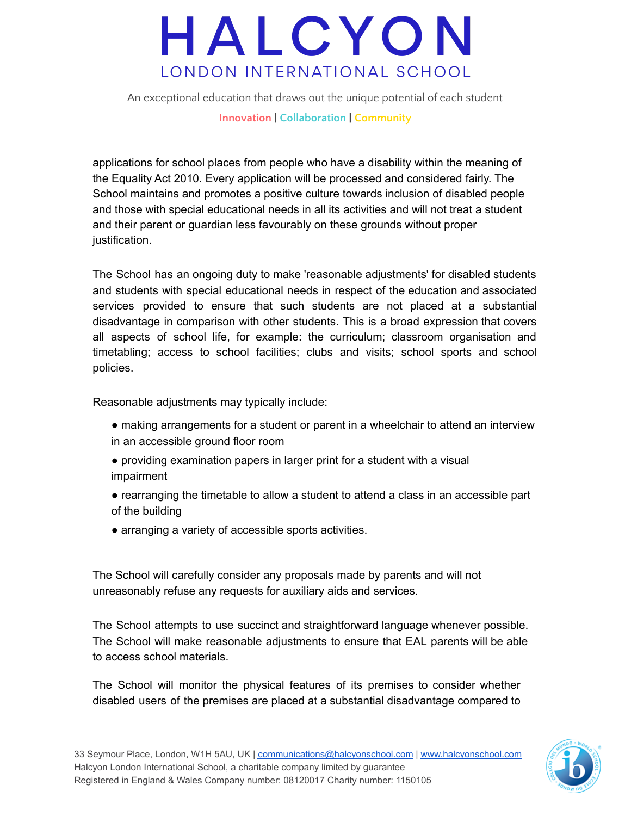# HALCYON LONDON INTERNATIONAL SCHOOL

An exceptional education that draws out the unique potential of each student **Innovation | Collaboration | Community**

applications for school places from people who have a disability within the meaning of the Equality Act 2010. Every application will be processed and considered fairly. The School maintains and promotes a positive culture towards inclusion of disabled people and those with special educational needs in all its activities and will not treat a student and their parent or guardian less favourably on these grounds without proper justification.

The School has an ongoing duty to make 'reasonable adjustments' for disabled students and students with special educational needs in respect of the education and associated services provided to ensure that such students are not placed at a substantial disadvantage in comparison with other students. This is a broad expression that covers all aspects of school life, for example: the curriculum; classroom organisation and timetabling; access to school facilities; clubs and visits; school sports and school policies.

Reasonable adjustments may typically include:

- making arrangements for a student or parent in a wheelchair to attend an interview in an accessible ground floor room
- providing examination papers in larger print for a student with a visual impairment
- rearranging the timetable to allow a student to attend a class in an accessible part of the building
- arranging a variety of accessible sports activities.

The School will carefully consider any proposals made by parents and will not unreasonably refuse any requests for auxiliary aids and services.

The School attempts to use succinct and straightforward language whenever possible. The School will make reasonable adjustments to ensure that EAL parents will be able to access school materials.

The School will monitor the physical features of its premises to consider whether disabled users of the premises are placed at a substantial disadvantage compared to

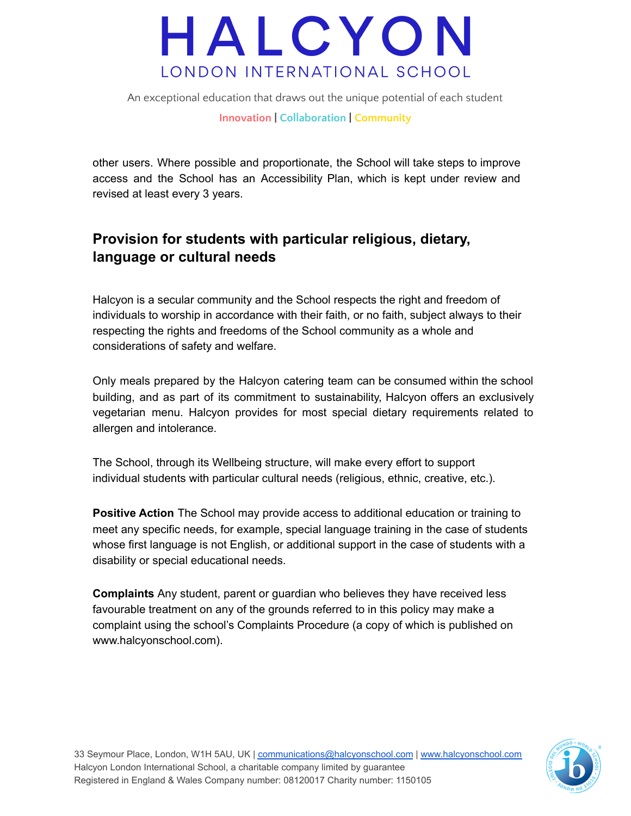

other users. Where possible and proportionate, the School will take steps to improve access and the School has an Accessibility Plan, which is kept under review and revised at least every 3 years.

#### **Provision for students with particular religious, dietary, language or cultural needs**

Halcyon is a secular community and the School respects the right and freedom of individuals to worship in accordance with their faith, or no faith, subject always to their respecting the rights and freedoms of the School community as a whole and considerations of safety and welfare.

Only meals prepared by the Halcyon catering team can be consumed within the school building, and as part of its commitment to sustainability, Halcyon offers an exclusively vegetarian menu. Halcyon provides for most special dietary requirements related to allergen and intolerance.

The School, through its Wellbeing structure, will make every effort to support individual students with particular cultural needs (religious, ethnic, creative, etc.).

**Positive Action** The School may provide access to additional education or training to meet any specific needs, for example, special language training in the case of students whose first language is not English, or additional support in the case of students with a disability or special educational needs.

**Complaints** Any student, parent or guardian who believes they have received less favourable treatment on any of the grounds referred to in this policy may make a complaint using the school's Complaints Procedure (a copy of which is published on www.halcyonschool.com).